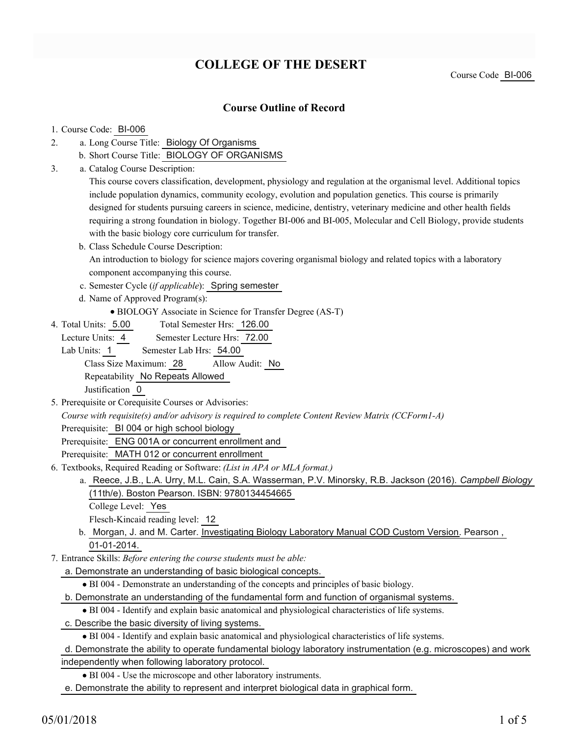# **COLLEGE OF THE DESERT**

## **Course Outline of Record**

#### 1. Course Code: BI-006

- a. Long Course Title: Biology Of Organisms 2.
	- b. Short Course Title: BIOLOGY OF ORGANISMS
- Catalog Course Description: a. 3.

This course covers classification, development, physiology and regulation at the organismal level. Additional topics include population dynamics, community ecology, evolution and population genetics. This course is primarily designed for students pursuing careers in science, medicine, dentistry, veterinary medicine and other health fields requiring a strong foundation in biology. Together BI-006 and BI-005, Molecular and Cell Biology, provide students with the basic biology core curriculum for transfer.

- b. Class Schedule Course Description: An introduction to biology for science majors covering organismal biology and related topics with a laboratory component accompanying this course.
- c. Semester Cycle (*if applicable*): Spring semester
- d. Name of Approved Program(s):
	- BIOLOGY Associate in Science for Transfer Degree (AS-T)
- Total Semester Hrs: 126.00 4. Total Units: 5.00

Lecture Units: 4 Semester Lecture Hrs: 72.00

Lab Units: 1 Semester Lab Hrs: 54.00 Class Size Maximum: 28 Allow Audit: No

Repeatability No Repeats Allowed

Justification 0

5. Prerequisite or Corequisite Courses or Advisories:

*Course with requisite(s) and/or advisory is required to complete Content Review Matrix (CCForm1-A)*

Prerequisite: BI 004 or high school biology

Prerequisite: ENG 001A or concurrent enrollment and

Prerequisite: MATH 012 or concurrent enrollment

- Textbooks, Required Reading or Software: *(List in APA or MLA format.)* 6.
	- a. Reece, J.B., L.A. Urry, M.L. Cain, S.A. Wasserman, P.V. Minorsky, R.B. Jackson (2016). *Campbell Biology* (11th/e). Boston Pearson. ISBN: 9780134454665
		- College Level: Yes

Flesch-Kincaid reading level: 12

- b. Morgan, J. and M. Carter. Investigating Biology Laboratory Manual COD Custom Version. Pearson, 01-01-2014.
- Entrance Skills: *Before entering the course students must be able:* 7.
	- a. Demonstrate an understanding of basic biological concepts.
		- BI 004 Demonstrate an understanding of the concepts and principles of basic biology.
	- b. Demonstrate an understanding of the fundamental form and function of organismal systems.
	- BI 004 Identify and explain basic anatomical and physiological characteristics of life systems.
	- c. Describe the basic diversity of living systems.

BI 004 - Identify and explain basic anatomical and physiological characteristics of life systems.

- d. Demonstrate the ability to operate fundamental biology laboratory instrumentation (e.g. microscopes) and work independently when following laboratory protocol.
	- BI 004 Use the microscope and other laboratory instruments.

e. Demonstrate the ability to represent and interpret biological data in graphical form.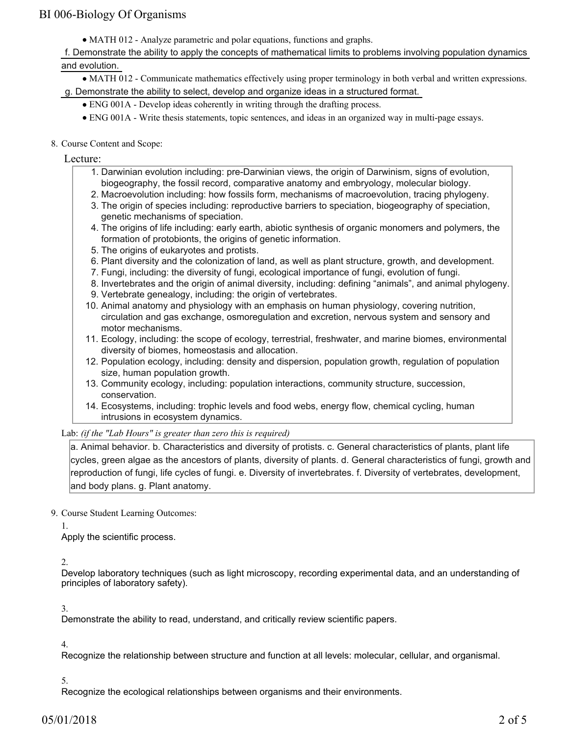# BI 006-Biology Of Organisms

MATH 012 - Analyze parametric and polar equations, functions and graphs.

f. Demonstrate the ability to apply the concepts of mathematical limits to problems involving population dynamics and evolution.

MATH 012 - Communicate mathematics effectively using proper terminology in both verbal and written expressions.

g. Demonstrate the ability to select, develop and organize ideas in a structured format.

- ENG 001A Develop ideas coherently in writing through the drafting process.
- ENG 001A Write thesis statements, topic sentences, and ideas in an organized way in multi-page essays.
- 8. Course Content and Scope:

Lecture:

- 1. Darwinian evolution including: pre-Darwinian views, the origin of Darwinism, signs of evolution, biogeography, the fossil record, comparative anatomy and embryology, molecular biology.
- 2. Macroevolution including: how fossils form, mechanisms of macroevolution, tracing phylogeny.
- 3. The origin of species including: reproductive barriers to speciation, biogeography of speciation, genetic mechanisms of speciation.
- 4. The origins of life including: early earth, abiotic synthesis of organic monomers and polymers, the formation of protobionts, the origins of genetic information.
- 5. The origins of eukaryotes and protists.
- 6. Plant diversity and the colonization of land, as well as plant structure, growth, and development.
- 7. Fungi, including: the diversity of fungi, ecological importance of fungi, evolution of fungi.
- 8. Invertebrates and the origin of animal diversity, including: defining "animals", and animal phylogeny.
- 9. Vertebrate genealogy, including: the origin of vertebrates.
- 10. Animal anatomy and physiology with an emphasis on human physiology, covering nutrition, circulation and gas exchange, osmoregulation and excretion, nervous system and sensory and motor mechanisms.
- 11. Ecology, including: the scope of ecology, terrestrial, freshwater, and marine biomes, environmental diversity of biomes, homeostasis and allocation.
- 12. Population ecology, including: density and dispersion, population growth, regulation of population size, human population growth.
- 13. Community ecology, including: population interactions, community structure, succession, conservation.
- 14. Ecosystems, including: trophic levels and food webs, energy flow, chemical cycling, human intrusions in ecosystem dynamics.

Lab: *(if the "Lab Hours" is greater than zero this is required)*

a. Animal behavior. b. Characteristics and diversity of protists. c. General characteristics of plants, plant life cycles, green algae as the ancestors of plants, diversity of plants. d. General characteristics of fungi, growth and reproduction of fungi, life cycles of fungi. e. Diversity of invertebrates. f. Diversity of vertebrates, development, and body plans. g. Plant anatomy.

9. Course Student Learning Outcomes:

#### 1.

Apply the scientific process.

 $\mathcal{D}$ 

Develop laboratory techniques (such as light microscopy, recording experimental data, and an understanding of principles of laboratory safety).

3.

Demonstrate the ability to read, understand, and critically review scientific papers.

4.

Recognize the relationship between structure and function at all levels: molecular, cellular, and organismal.

### 5.

Recognize the ecological relationships between organisms and their environments.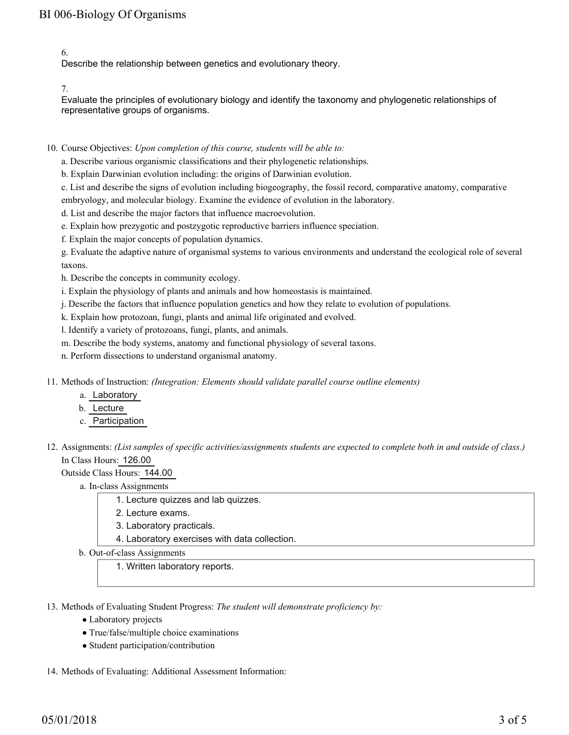6.

Describe the relationship between genetics and evolutionary theory.

7.

Evaluate the principles of evolutionary biology and identify the taxonomy and phylogenetic relationships of representative groups of organisms.

10. Course Objectives: Upon completion of this course, students will be able to:

a. Describe various organismic classifications and their phylogenetic relationships.

b. Explain Darwinian evolution including: the origins of Darwinian evolution.

c. List and describe the signs of evolution including biogeography, the fossil record, comparative anatomy, comparative embryology, and molecular biology. Examine the evidence of evolution in the laboratory.

d. List and describe the major factors that influence macroevolution.

e. Explain how prezygotic and postzygotic reproductive barriers influence speciation.

f. Explain the major concepts of population dynamics.

g. Evaluate the adaptive nature of organismal systems to various environments and understand the ecological role of several taxons.

h. Describe the concepts in community ecology.

i. Explain the physiology of plants and animals and how homeostasis is maintained.

j. Describe the factors that influence population genetics and how they relate to evolution of populations.

k. Explain how protozoan, fungi, plants and animal life originated and evolved.

l. Identify a variety of protozoans, fungi, plants, and animals.

m. Describe the body systems, anatomy and functional physiology of several taxons.

n. Perform dissections to understand organismal anatomy.

11. Methods of Instruction: *(Integration: Elements should validate parallel course outline elements)* 

- a. Laboratory
- b. Lecture
- c. Participation
- 12. Assignments: (List samples of specific activities/assignments students are expected to complete both in and outside of class.) In Class Hours: 126.00

Outside Class Hours: 144.00

a. In-class Assignments

- 1. Lecture quizzes and lab quizzes.
- 2. Lecture exams.
- 3. Laboratory practicals.
- 4. Laboratory exercises with data collection.
- b. Out-of-class Assignments

1. Written laboratory reports.

13. Methods of Evaluating Student Progress: The student will demonstrate proficiency by:

- Laboratory projects
- True/false/multiple choice examinations
- Student participation/contribution

14. Methods of Evaluating: Additional Assessment Information: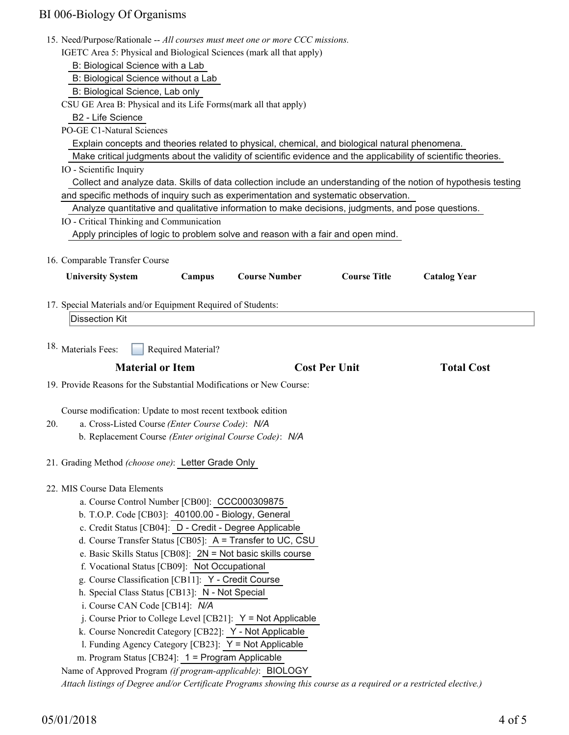# BI 006-Biology Of Organisms

|     | 15. Need/Purpose/Rationale -- All courses must meet one or more CCC missions.                                                                                                                                                                                                                                                                                                                                                                               |                                                                                                |                                                                      |                      |                     |  |
|-----|-------------------------------------------------------------------------------------------------------------------------------------------------------------------------------------------------------------------------------------------------------------------------------------------------------------------------------------------------------------------------------------------------------------------------------------------------------------|------------------------------------------------------------------------------------------------|----------------------------------------------------------------------|----------------------|---------------------|--|
|     | IGETC Area 5: Physical and Biological Sciences (mark all that apply)                                                                                                                                                                                                                                                                                                                                                                                        |                                                                                                |                                                                      |                      |                     |  |
|     | B: Biological Science with a Lab                                                                                                                                                                                                                                                                                                                                                                                                                            |                                                                                                |                                                                      |                      |                     |  |
|     | B: Biological Science without a Lab                                                                                                                                                                                                                                                                                                                                                                                                                         |                                                                                                |                                                                      |                      |                     |  |
|     | B: Biological Science, Lab only<br>CSU GE Area B: Physical and its Life Forms(mark all that apply)                                                                                                                                                                                                                                                                                                                                                          |                                                                                                |                                                                      |                      |                     |  |
|     | B2 - Life Science                                                                                                                                                                                                                                                                                                                                                                                                                                           |                                                                                                |                                                                      |                      |                     |  |
|     | PO-GE C1-Natural Sciences                                                                                                                                                                                                                                                                                                                                                                                                                                   |                                                                                                |                                                                      |                      |                     |  |
|     |                                                                                                                                                                                                                                                                                                                                                                                                                                                             | Explain concepts and theories related to physical, chemical, and biological natural phenomena. |                                                                      |                      |                     |  |
|     | Make critical judgments about the validity of scientific evidence and the applicability of scientific theories.<br>IO - Scientific Inquiry<br>Collect and analyze data. Skills of data collection include an understanding of the notion of hypothesis testing<br>and specific methods of inquiry such as experimentation and systematic observation.<br>Analyze quantitative and qualitative information to make decisions, judgments, and pose questions. |                                                                                                |                                                                      |                      |                     |  |
|     |                                                                                                                                                                                                                                                                                                                                                                                                                                                             |                                                                                                |                                                                      |                      |                     |  |
|     |                                                                                                                                                                                                                                                                                                                                                                                                                                                             |                                                                                                |                                                                      |                      |                     |  |
|     |                                                                                                                                                                                                                                                                                                                                                                                                                                                             |                                                                                                |                                                                      |                      |                     |  |
|     |                                                                                                                                                                                                                                                                                                                                                                                                                                                             |                                                                                                |                                                                      |                      |                     |  |
|     | IO - Critical Thinking and Communication                                                                                                                                                                                                                                                                                                                                                                                                                    |                                                                                                |                                                                      |                      |                     |  |
|     | Apply principles of logic to problem solve and reason with a fair and open mind.                                                                                                                                                                                                                                                                                                                                                                            |                                                                                                |                                                                      |                      |                     |  |
|     |                                                                                                                                                                                                                                                                                                                                                                                                                                                             |                                                                                                |                                                                      |                      |                     |  |
|     | 16. Comparable Transfer Course                                                                                                                                                                                                                                                                                                                                                                                                                              |                                                                                                |                                                                      |                      |                     |  |
|     | <b>University System</b>                                                                                                                                                                                                                                                                                                                                                                                                                                    | Campus                                                                                         | <b>Course Number</b>                                                 | <b>Course Title</b>  | <b>Catalog Year</b> |  |
|     |                                                                                                                                                                                                                                                                                                                                                                                                                                                             |                                                                                                |                                                                      |                      |                     |  |
|     | 17. Special Materials and/or Equipment Required of Students:                                                                                                                                                                                                                                                                                                                                                                                                |                                                                                                |                                                                      |                      |                     |  |
|     | <b>Dissection Kit</b>                                                                                                                                                                                                                                                                                                                                                                                                                                       |                                                                                                |                                                                      |                      |                     |  |
|     |                                                                                                                                                                                                                                                                                                                                                                                                                                                             |                                                                                                |                                                                      |                      |                     |  |
|     | <sup>18.</sup> Materials Fees:                                                                                                                                                                                                                                                                                                                                                                                                                              | Required Material?                                                                             |                                                                      |                      |                     |  |
|     | <b>Material or Item</b>                                                                                                                                                                                                                                                                                                                                                                                                                                     |                                                                                                |                                                                      | <b>Cost Per Unit</b> | <b>Total Cost</b>   |  |
|     |                                                                                                                                                                                                                                                                                                                                                                                                                                                             |                                                                                                | 19. Provide Reasons for the Substantial Modifications or New Course: |                      |                     |  |
|     |                                                                                                                                                                                                                                                                                                                                                                                                                                                             |                                                                                                |                                                                      |                      |                     |  |
|     |                                                                                                                                                                                                                                                                                                                                                                                                                                                             |                                                                                                |                                                                      |                      |                     |  |
|     | Course modification: Update to most recent textbook edition                                                                                                                                                                                                                                                                                                                                                                                                 |                                                                                                |                                                                      |                      |                     |  |
| 20. | a. Cross-Listed Course (Enter Course Code): N/A                                                                                                                                                                                                                                                                                                                                                                                                             |                                                                                                |                                                                      |                      |                     |  |
|     | b. Replacement Course (Enter original Course Code): N/A                                                                                                                                                                                                                                                                                                                                                                                                     |                                                                                                |                                                                      |                      |                     |  |
|     |                                                                                                                                                                                                                                                                                                                                                                                                                                                             |                                                                                                |                                                                      |                      |                     |  |
|     | 21. Grading Method (choose one): Letter Grade Only                                                                                                                                                                                                                                                                                                                                                                                                          |                                                                                                |                                                                      |                      |                     |  |
|     | 22. MIS Course Data Elements                                                                                                                                                                                                                                                                                                                                                                                                                                |                                                                                                |                                                                      |                      |                     |  |
|     | a. Course Control Number [CB00]: CCC000309875                                                                                                                                                                                                                                                                                                                                                                                                               |                                                                                                |                                                                      |                      |                     |  |
|     | b. T.O.P. Code [CB03]: 40100.00 - Biology, General                                                                                                                                                                                                                                                                                                                                                                                                          |                                                                                                |                                                                      |                      |                     |  |
|     | c. Credit Status [CB04]: D - Credit - Degree Applicable                                                                                                                                                                                                                                                                                                                                                                                                     |                                                                                                |                                                                      |                      |                     |  |
|     | d. Course Transfer Status [CB05]: A = Transfer to UC, CSU                                                                                                                                                                                                                                                                                                                                                                                                   |                                                                                                |                                                                      |                      |                     |  |
|     | e. Basic Skills Status [CB08]: 2N = Not basic skills course                                                                                                                                                                                                                                                                                                                                                                                                 |                                                                                                |                                                                      |                      |                     |  |
|     | f. Vocational Status [CB09]: Not Occupational                                                                                                                                                                                                                                                                                                                                                                                                               |                                                                                                |                                                                      |                      |                     |  |
|     | g. Course Classification [CB11]: Y - Credit Course                                                                                                                                                                                                                                                                                                                                                                                                          |                                                                                                |                                                                      |                      |                     |  |
|     | h. Special Class Status [CB13]: N - Not Special                                                                                                                                                                                                                                                                                                                                                                                                             |                                                                                                |                                                                      |                      |                     |  |
|     | i. Course CAN Code [CB14]: N/A                                                                                                                                                                                                                                                                                                                                                                                                                              |                                                                                                |                                                                      |                      |                     |  |
|     | j. Course Prior to College Level [CB21]: $Y = Not$ Applicable                                                                                                                                                                                                                                                                                                                                                                                               |                                                                                                |                                                                      |                      |                     |  |
|     | k. Course Noncredit Category [CB22]: Y - Not Applicable                                                                                                                                                                                                                                                                                                                                                                                                     |                                                                                                |                                                                      |                      |                     |  |
|     | 1. Funding Agency Category [CB23]: Y = Not Applicable                                                                                                                                                                                                                                                                                                                                                                                                       |                                                                                                |                                                                      |                      |                     |  |
|     | m. Program Status [CB24]: 1 = Program Applicable                                                                                                                                                                                                                                                                                                                                                                                                            |                                                                                                |                                                                      |                      |                     |  |
|     | Name of Approved Program (if program-applicable): BIOLOGY<br>Attach listings of Degree and/or Certificate Programs showing this course as a required or a restricted elective.)                                                                                                                                                                                                                                                                             |                                                                                                |                                                                      |                      |                     |  |